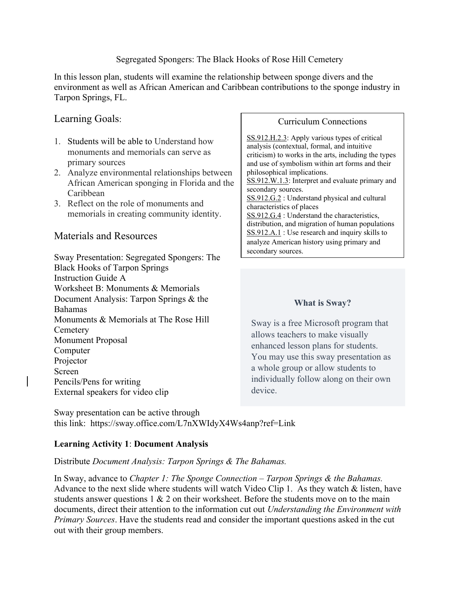#### Segregated Spongers: The Black Hooks of Rose Hill Cemetery

In this lesson plan, students will examine the relationship between sponge divers and the environment as well as African American and Caribbean contributions to the sponge industry in Tarpon Springs, FL.

## Learning Goals:

- 1. Students will be able to Understand how monuments and memorials can serve as primary sources
- 2. Analyze environmental relationships between African American sponging in Florida and the Caribbean
- 3. Reflect on the role of monuments and memorials in creating community identity.

## Materials and Resources

Sway Presentation: Segregated Spongers: The Black Hooks of Tarpon Springs Instruction Guide A Worksheet B: Monuments & Memorials Document Analysis: Tarpon Springs & the Bahamas Monuments & Memorials at The Rose Hill **Cemetery** Monument Proposal Computer Projector Screen Pencils/Pens for writing External speakers for video clip

#### Curriculum Connections

SS.912.H.2.3: Apply various types of critical analysis (contextual, formal, and intuitive criticism) to works in the arts, including the types and use of symbolism within art forms and their philosophical implications. SS.912.W.1.3: Interpret and evaluate primary and secondary sources. SS.912.G.2 : Understand physical and cultural characteristics of places SS.912.G.4 : Understand the characteristics, distribution, and migration of human populations SS.912.A.1 : Use research and inquiry skills to analyze American history using primary and secondary sources.

## **What is Sway?**

Sway is a free Microsoft program that allows teachers to make visually enhanced lesson plans for students. You may use this sway presentation as a whole group or allow students to individually follow along on their own device.

Sway presentation can be active through this link: https://sway.office.com/L7nXWIdyX4Ws4anp?ref=Link

#### **Learning Activity 1**: **Document Analysis**

## Distribute *Document Analysis: Tarpon Springs & The Bahamas.*

In Sway, advance to *Chapter 1: The Sponge Connection – Tarpon Springs & the Bahamas.*  Advance to the next slide where students will watch Video Clip 1. As they watch & listen, have students answer questions 1 & 2 on their worksheet. Before the students move on to the main documents, direct their attention to the information cut out *Understanding the Environment with Primary Sources*. Have the students read and consider the important questions asked in the cut out with their group members.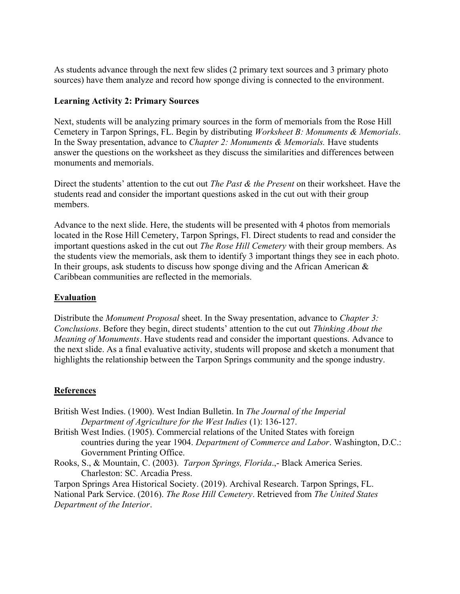As students advance through the next few slides (2 primary text sources and 3 primary photo sources) have them analyze and record how sponge diving is connected to the environment.

### **Learning Activity 2: Primary Sources**

Next, students will be analyzing primary sources in the form of memorials from the Rose Hill Cemetery in Tarpon Springs, FL. Begin by distributing *Worksheet B: Monuments & Memorials*. In the Sway presentation, advance to *Chapter 2: Monuments & Memorials.* Have students answer the questions on the worksheet as they discuss the similarities and differences between monuments and memorials.

Direct the students' attention to the cut out *The Past & the Present* on their worksheet. Have the students read and consider the important questions asked in the cut out with their group members.

Advance to the next slide. Here, the students will be presented with 4 photos from memorials located in the Rose Hill Cemetery, Tarpon Springs, Fl. Direct students to read and consider the important questions asked in the cut out *The Rose Hill Cemetery* with their group members. As the students view the memorials, ask them to identify 3 important things they see in each photo. In their groups, ask students to discuss how sponge diving and the African American  $\&$ Caribbean communities are reflected in the memorials.

### **Evaluation**

Distribute the *Monument Proposal* sheet. In the Sway presentation, advance to *Chapter 3: Conclusions*. Before they begin, direct students' attention to the cut out *Thinking About the Meaning of Monuments*. Have students read and consider the important questions. Advance to the next slide. As a final evaluative activity, students will propose and sketch a monument that highlights the relationship between the Tarpon Springs community and the sponge industry.

#### **References**

- British West Indies. (1900). West Indian Bulletin. In *The Journal of the Imperial Department of Agriculture for the West Indies* (1): 136-127.
- British West Indies. (1905). Commercial relations of the United States with foreign countries during the year 1904. *Department of Commerce and Labor*. Washington, D.C.: Government Printing Office.
- Rooks, S., & Mountain, C. (2003). *Tarpon Springs, Florida*.,- Black America Series. Charleston: SC. Arcadia Press.

Tarpon Springs Area Historical Society. (2019). Archival Research. Tarpon Springs, FL. National Park Service. (2016). *The Rose Hill Cemetery*. Retrieved from *The United States Department of the Interior*.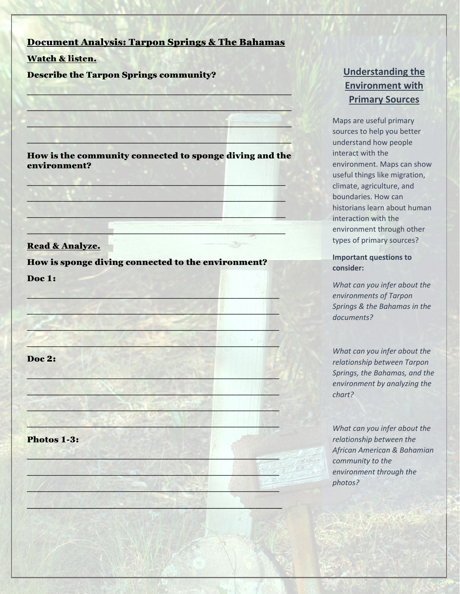### Document Analysis: Tarpon Springs & The Bahamas

 $\mathcal{L} = \{ \mathcal{L} \in \mathcal{L} \mid \mathcal{L} \in \mathcal{L} \text{ and } \mathcal{L} \in \mathcal{L} \}$ 

 $\sim$  , and a state  $\sim$  . The set of the set of the set of the set of the set of the set of the set of the set of the set of the set of the set of the set of the set of the set of the set of the set of the set of the set

 $\mathcal{L}_\mathcal{A}$  , we have a set of  $\mathcal{L}_\mathcal{A}$  , the set of  $\mathcal{L}_\mathcal{A}$  ,  $\mathcal{L}_\mathcal{A}$  ,  $\mathcal{L}_\mathcal{A}$  ,  $\mathcal{L}_\mathcal{A}$  ,  $\mathcal{L}_\mathcal{A}$  ,  $\mathcal{L}_\mathcal{A}$  ,  $\mathcal{L}_\mathcal{A}$  ,  $\mathcal{L}_\mathcal{A}$  ,  $\mathcal{L}_\mathcal{A}$  ,  $\mathcal{L$ 

 $\mathbb{P}^1(X, \mathbb{P}^2)$  , and  $X$  , and an expected by  $\mathbb{P}^1(X, \mathbb{P}^1)$  ,  $\mathbb{P}^1(X, \mathbb{P}^1)$  ,  $\mathbb{P}^1(X, \mathbb{P}^1)$ 

Watch & listen.

Describe the Tarpon Springs community?

How is the community connected to sponge diving and the environment?

 $\mathcal{L}(\mathcal{L}(\mathcal{L}(\mathcal{L}(\mathcal{L}(\mathcal{L}(\mathcal{L}(\mathcal{L}(\mathcal{L}(\mathcal{L}(\mathcal{L}(\mathcal{L}(\mathcal{L}(\mathcal{L}(\mathcal{L}(\mathcal{L}(\mathcal{L}(\mathcal{L}(\mathcal{L}(\mathcal{L}(\mathcal{L}(\mathcal{L}(\mathcal{L}(\mathcal{L}(\mathcal{L}(\mathcal{L}(\mathcal{L}(\mathcal{L}(\mathcal{L}(\mathcal{L}(\mathcal{L}(\mathcal{L}(\mathcal{L}(\mathcal{L}(\mathcal{L}(\mathcal{L}(\mathcal{$ 

 $\mathbb{E}[\mathbf{e}_i \mathbf{e}_j] = \mathbb{E}[\mathbf{e}_i \mathbf{e}_j] = \mathbb{E}[\mathbf{e}_i \mathbf{e}_j] = \mathbb{E}[\mathbf{e}_i \mathbf{e}_j] = \mathbb{E}[\mathbf{e}_i \mathbf{e}_j] = \mathbb{E}[\mathbf{e}_i \mathbf{e}_j] = \mathbb{E}[\mathbf{e}_i \mathbf{e}_j] = \mathbb{E}[\mathbf{e}_i \mathbf{e}_j] = \mathbb{E}[\mathbf{e}_i \mathbf{e}_j] = \mathbb{E}[\mathbf{e}_i \mathbf{e}_j] =$ 

 $\sim$  . The set of the set of the set of  $\sim$  , and the set of  $\sim$  ,  $\sim$  ,  $\sim$  ,  $\sim$  ,  $\sim$  ,  $\sim$  ,  $\sim$  ,  $\sim$  ,  $\sim$  ,  $\sim$  ,  $\sim$  ,  $\sim$  ,  $\sim$  ,  $\sim$  ,  $\sim$  ,  $\sim$  ,  $\sim$  ,  $\sim$  ,  $\sim$  ,  $\sim$  ,  $\sim$  ,  $\sim$  ,  $\sim$ 

 $\mathcal{L}$  , and the set of the set of the set of the set of the set of the set of the set of the set of the set of the set of the set of the set of the set of the set of the set of the set of the set of the set of the set

#### Read & Analyze.

How is sponge diving connected to the environment?

 $\mathcal{L} = \mathcal{L} \cup \mathcal{L}$  , where  $\mathcal{L} = \{ \mathcal{L} \cup \mathcal{L} \mid \mathcal{L} \in \mathcal{L} \}$ 

 $\blacksquare$ 

 $\mathcal{L} \rightarrow \mathcal{L}$ 

 $\mathcal{L} = \mathcal{L} \cup \mathcal{L}$ 

 $\mathcal{L}_\mathcal{L}$  , and an analyzing  $\mathcal{L}_\mathcal{L}$  , and  $\mathcal{L}_\mathcal{L}$  , and  $\mathcal{L}_\mathcal{L}$ 

 $\mathbb{R}^n$  , and the set of  $\mathbb{R}^n$  , and  $\mathbb{R}^n$  , and  $\mathbb{R}^n$  , and  $\mathbb{R}^n$ 

 $\mathcal{L}_\mathcal{L}$  ,  $\mathcal{L}_\mathcal{L}$  ,  $\mathcal{L}_\mathcal{L}$  ,  $\mathcal{L}_\mathcal{L}$  ,  $\mathcal{L}_\mathcal{L}$  ,  $\mathcal{L}_\mathcal{L}$  ,  $\mathcal{L}_\mathcal{L}$  ,  $\mathcal{L}_\mathcal{L}$  ,  $\mathcal{L}_\mathcal{L}$  ,  $\mathcal{L}_\mathcal{L}$ 

 $\mathcal{L} = \mathcal{L} \times \mathcal{L} \times \mathcal{L} \times \mathcal{L} \times \mathcal{L} \times \mathcal{L} \times \mathcal{L} \times \mathcal{L} \times \mathcal{L} \times \mathcal{L} \times \mathcal{L} \times \mathcal{L} \times \mathcal{L} \times \mathcal{L} \times \mathcal{L} \times \mathcal{L} \times \mathcal{L} \times \mathcal{L} \times \mathcal{L} \times \mathcal{L} \times \mathcal{L} \times \mathcal{L} \times \mathcal{L} \times \mathcal{L} \times \mathcal{L} \times \mathcal{L} \times \mathcal{L$ 

 $\mathcal{A} \subset \mathcal{A}$  , where  $\mathcal{A} \subset \mathcal{A}$  , where  $\mathcal{A} \subset \mathcal{A}$ 

 $\Box$  , and  $\Box$  ,  $\Box$  ,  $\Box$  ,  $\Box$  ,  $\Box$  ,  $\Box$  ,  $\Box$  ,  $\Box$  ,  $\Box$  ,  $\Box$  ,  $\Box$ 

 $\mathcal{L} \left( \frac{1}{2} \right)$  ,  $\mathcal{L} \left( \frac{1}{2} \right)$  ,  $\mathcal{L} \left( \frac{1}{2} \right)$  ,  $\mathcal{L} \left( \frac{1}{2} \right)$  ,  $\mathcal{L} \left( \frac{1}{2} \right)$  ,  $\mathcal{L} \left( \frac{1}{2} \right)$  ,  $\mathcal{L} \left( \frac{1}{2} \right)$  ,  $\mathcal{L} \left( \frac{1}{2} \right)$  ,  $\mathcal{L} \left( \frac{1}{2} \right)$  ,  $\mathcal{$ 

\_\_\_\_\_\_\_\_\_\_\_\_\_\_\_\_\_\_\_\_\_\_\_\_\_\_\_\_\_\_\_\_\_\_\_\_\_\_

Doc 1:

Doc 2:

Photos 1-3:

# **Understanding the Environment with Primary Sources**

Maps are useful primary sources to help you better understand how people interact with the environment. Maps can show useful things like migration, climate, agriculture, and boundaries. How can historians learn about human interaction with the environment through other types of primary sources?

#### **Important questions to consider:**

*What can you infer about the environments of Tarpon Springs & the Bahamas in the documents?*

*What can you infer about the relationship between Tarpon Springs, the Bahamas, and the environment by analyzing the chart?*

*What can you infer about the relationship between the African American & Bahamian community to the environment through the photos?*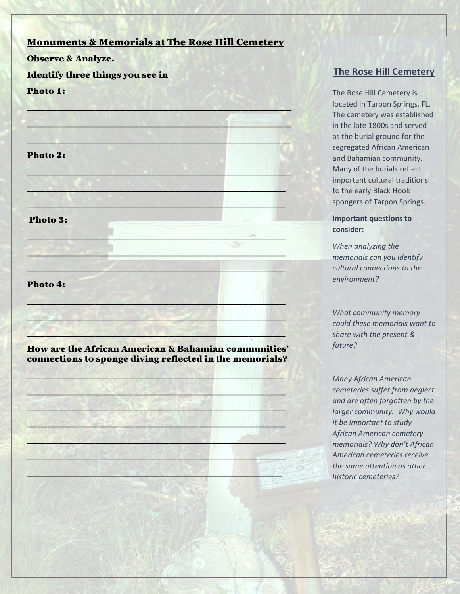## Monuments & Memorials at The Rose Hill Cemetery

#### Observe & Analyze.

### Identify three things you see in

#### Photo 1:

 $\sim$  , and a state  $\sim$  . The set of the set of the set of the set of the set of the set of the set of the set of the set of the set of the set of the set of the set of the set of the set of the set of the set of the set  $\mathcal{L}_\mathcal{A}$  , we have a set of  $\mathcal{L}_\mathcal{A}$  , the set of  $\mathcal{L}_\mathcal{A}$  ,  $\mathcal{L}_\mathcal{A}$  ,  $\mathcal{L}_\mathcal{A}$  ,  $\mathcal{L}_\mathcal{A}$  ,  $\mathcal{L}_\mathcal{A}$  ,  $\mathcal{L}_\mathcal{A}$  ,  $\mathcal{L}_\mathcal{A}$  ,  $\mathcal{L}_\mathcal{A}$  ,  $\mathcal{L}_\mathcal{A}$  ,  $\mathcal{L$  $\mathbb{P}^1(X, \mathbb{P}^2)$  , and  $X$  , and an expected by  $\mathbb{P}^1(X, \mathbb{P}^1)$  ,  $\mathbb{P}^1(X, \mathbb{P}^1)$  ,  $\mathbb{P}^1(X, \mathbb{P}^1)$ Photo 2:  $\mathcal{N}(0)$  , and the set of the set of the set of the set of the set of the set of the set of the set of the set of the set of the set of the set of the set of the set of the set of the set of the set of the set of the se  $\mathcal{L}$  , we have the set of  $\mathcal{L}$  , we have the set of  $\mathcal{L}$  , we have  $\mathcal{L}$  , we have  $\mathcal{L}$  $\mathbb{R}$  , if  $\mathbb{R}$  ,  $\mathbb{R}$  ,  $\mathbb{R}$  ,  $\mathbb{R}$  ,  $\mathbb{R}$  ,  $\mathbb{R}$  ,  $\mathbb{R}$  ,  $\mathbb{R}$  ,  $\mathbb{R}$  ,  $\mathbb{R}$  ,  $\mathbb{R}$  ,  $\mathbb{R}$  ,  $\mathbb{R}$  ,  $\mathbb{R}$ Photo 3:  $\mathcal{L}=\mathcal{L}$  , we have a set of  $\mathcal{L}=\mathcal{L}$  $\mathbf{p}_i = \mathbf{p}_i + \mathbf{p}_i$  , where  $\mathbf{p}_i$  $\mathbb{E}[\mathbf{z}]=\mathbf{z}$  , and  $\mathbf{z}=\mathbf{z}$  , and  $\mathbf{z}=\mathbf{z}$  , and  $\mathbf{z}=\mathbf{z}$ Photo 4:  $\mathcal{L}=\{x_1,\dots,x_n\}$  , we can also a set of  $\mathcal{L}=\{x_1,\dots,x_n\}$  . Then  $\mathcal{L}=\{x_1,\dots,x_n\}$ \_\_\_\_\_\_\_\_\_\_\_\_\_\_\_\_\_\_\_\_\_\_\_\_\_\_\_\_\_\_\_\_\_\_\_\_\_\_\_\_\_\_  $\mathcal{A}$  , and  $\mathcal{A}$  , and  $\mathcal{A}$  , and  $\mathcal{A}$  , and  $\mathcal{A}$  , and  $\mathcal{A}$  , and  $\mathcal{A}$ 

## How are the African American & Bahamian communities' connections to sponge diving reflected in the memorials?

 $\sim$  . The state of  $\sim$  , and  $\sim$  , and  $\sim$  , and  $\sim$ 

 $\mathcal{A} = \mathcal{A} + \mathcal{A} + \mathcal{A} + \mathcal{A} + \mathcal{A} + \mathcal{A} + \mathcal{A} + \mathcal{A} + \mathcal{A} + \mathcal{A} + \mathcal{A} + \mathcal{A} + \mathcal{A} + \mathcal{A} + \mathcal{A} + \mathcal{A} + \mathcal{A} + \mathcal{A} + \mathcal{A} + \mathcal{A} + \mathcal{A} + \mathcal{A} + \mathcal{A} + \mathcal{A} + \mathcal{A} + \mathcal{A} + \mathcal{A} + \mathcal{A} + \mathcal{A} + \mathcal{A} + \mathcal$ 

 $\mathbb{E}[\mathbf{y} \times \mathbf{y} \times \mathbf{y} \times \mathbf{y}]$  ,  $\mathbf{y} \times \mathbf{y}$  ,  $\mathbf{y} \times \mathbf{y}$ 

 $\mathcal{L} = \mathcal{L} \mathcal{L} \mathcal{L} \mathcal{L} \mathcal{L} \mathcal{L} \mathcal{L} \mathcal{L} \mathcal{L} \mathcal{L} \mathcal{L} \mathcal{L} \mathcal{L} \mathcal{L} \mathcal{L} \mathcal{L} \mathcal{L} \mathcal{L} \mathcal{L} \mathcal{L} \mathcal{L} \mathcal{L} \mathcal{L} \mathcal{L} \mathcal{L} \mathcal{L} \mathcal{L} \mathcal{L} \mathcal{L} \mathcal{L} \mathcal{L} \mathcal{L} \mathcal{L} \mathcal{L} \mathcal{L} \mathcal$ 

 $\mathcal{L} = \mathcal{L} \cup \mathcal{L}$  , where  $\mathcal{L} = \{ \mathcal{L} \cup \mathcal{L} \cup \mathcal{L} \}$ 

 $\mathcal{A} \subset \mathcal{A}$  . The set of  $\mathcal{A} \subset \mathcal{A}$  , and  $\mathcal{A} \subset \mathcal{A}$ 

 $\Box$ 

**The Rose Hill Cemetery**

The Rose Hill Cemetery is located in Tarpon Springs, FL. The cemetery was established in the late 1800s and served as the burial ground for the segregated African American and Bahamian community. Many of the burials reflect important cultural traditions to the early Black Hook spongers of Tarpon Springs.

**Important questions to consider:**

*When analyzing the memorials can you identify cultural connections to the environment?*

*What community memory could these memorials want to share with the present & future?*

*Many African American cemeteries suffer from neglect and are often forgotten by the larger community. Why would it be important to study African American cemetery memorials? Why don't African American cemeteries receive the same attention as other historic cemeteries?*